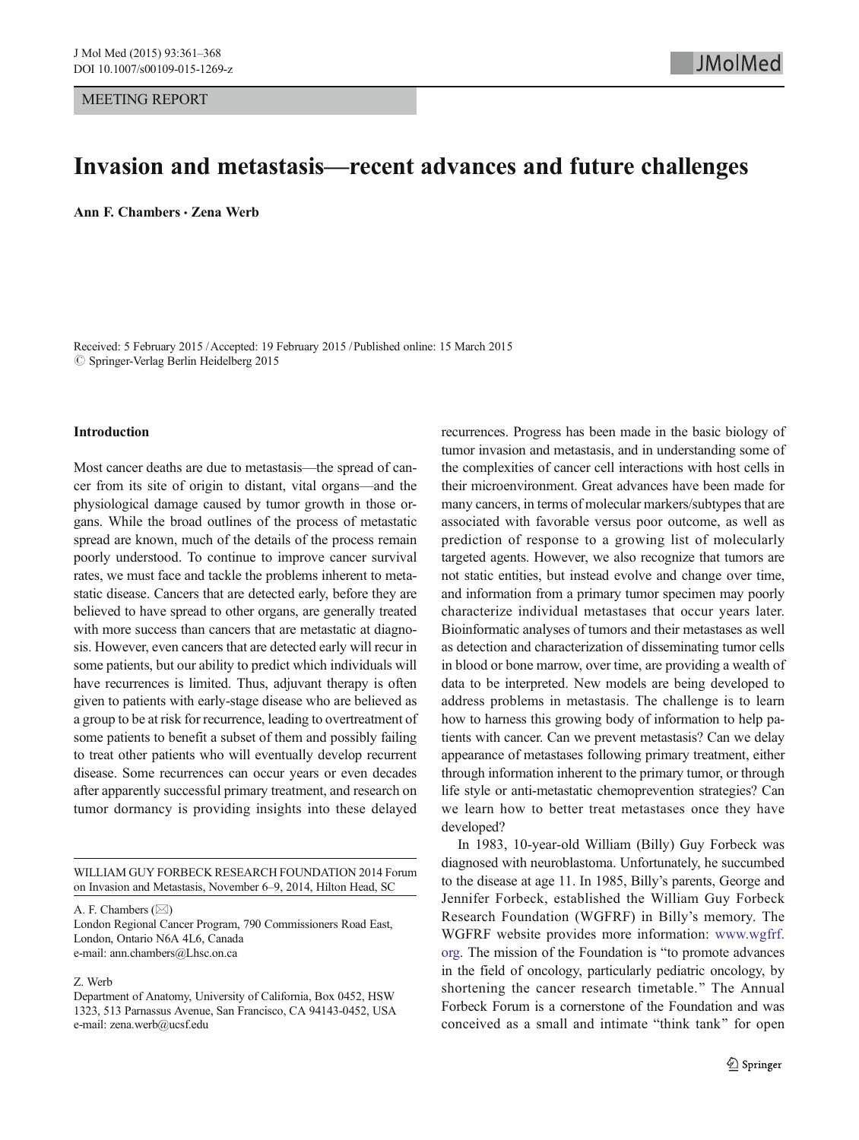# Invasion and metastasis—recent advances and future challenges

Ann F. Chambers · Zena Werb

Received: 5 February 2015 /Accepted: 19 February 2015 / Published online: 15 March 2015  $\oslash$  Springer-Verlag Berlin Heidelberg 2015

## Introduction

Most cancer deaths are due to metastasis—the spread of cancer from its site of origin to distant, vital organs—and the physiological damage caused by tumor growth in those organs. While the broad outlines of the process of metastatic spread are known, much of the details of the process remain poorly understood. To continue to improve cancer survival rates, we must face and tackle the problems inherent to metastatic disease. Cancers that are detected early, before they are believed to have spread to other organs, are generally treated with more success than cancers that are metastatic at diagnosis. However, even cancers that are detected early will recur in some patients, but our ability to predict which individuals will have recurrences is limited. Thus, adjuvant therapy is often given to patients with early-stage disease who are believed as a group to be at risk for recurrence, leading to overtreatment of some patients to benefit a subset of them and possibly failing to treat other patients who will eventually develop recurrent disease. Some recurrences can occur years or even decades after apparently successful primary treatment, and research on tumor dormancy is providing insights into these delayed

A. F. Chambers  $(\boxtimes)$ 

London Regional Cancer Program, 790 Commissioners Road East, London, Ontario N6A 4L6, Canada e-mail: ann.chambers@Lhsc.on.ca

### Z. Werb

recurrences. Progress has been made in the basic biology of tumor invasion and metastasis, and in understanding some of the complexities of cancer cell interactions with host cells in their microenvironment. Great advances have been made for many cancers, in terms of molecular markers/subtypes that are associated with favorable versus poor outcome, as well as prediction of response to a growing list of molecularly targeted agents. However, we also recognize that tumors are not static entities, but instead evolve and change over time, and information from a primary tumor specimen may poorly characterize individual metastases that occur years later. Bioinformatic analyses of tumors and their metastases as well as detection and characterization of disseminating tumor cells in blood or bone marrow, over time, are providing a wealth of data to be interpreted. New models are being developed to address problems in metastasis. The challenge is to learn how to harness this growing body of information to help patients with cancer. Can we prevent metastasis? Can we delay appearance of metastases following primary treatment, either through information inherent to the primary tumor, or through life style or anti-metastatic chemoprevention strategies? Can we learn how to better treat metastases once they have developed?

In 1983, 10-year-old William (Billy) Guy Forbeck was diagnosed with neuroblastoma. Unfortunately, he succumbed to the disease at age 11. In 1985, Billy's parents, George and Jennifer Forbeck, established the William Guy Forbeck Research Foundation (WGFRF) in Billy's memory. The WGFRF website provides more information: [www.wgfrf.](http://www.wgfrf.org/) [org.](http://www.wgfrf.org/) The mission of the Foundation is "to promote advances" in the field of oncology, particularly pediatric oncology, by shortening the cancer research timetable." The Annual Forbeck Forum is a cornerstone of the Foundation and was conceived as a small and intimate "think tank" for open

WILLIAM GUY FORBECK RESEARCH FOUNDATION 2014 Forum on Invasion and Metastasis, November 6–9, 2014, Hilton Head, SC

Department of Anatomy, University of California, Box 0452, HSW 1323, 513 Parnassus Avenue, San Francisco, CA 94143-0452, USA e-mail: zena.werb@ucsf.edu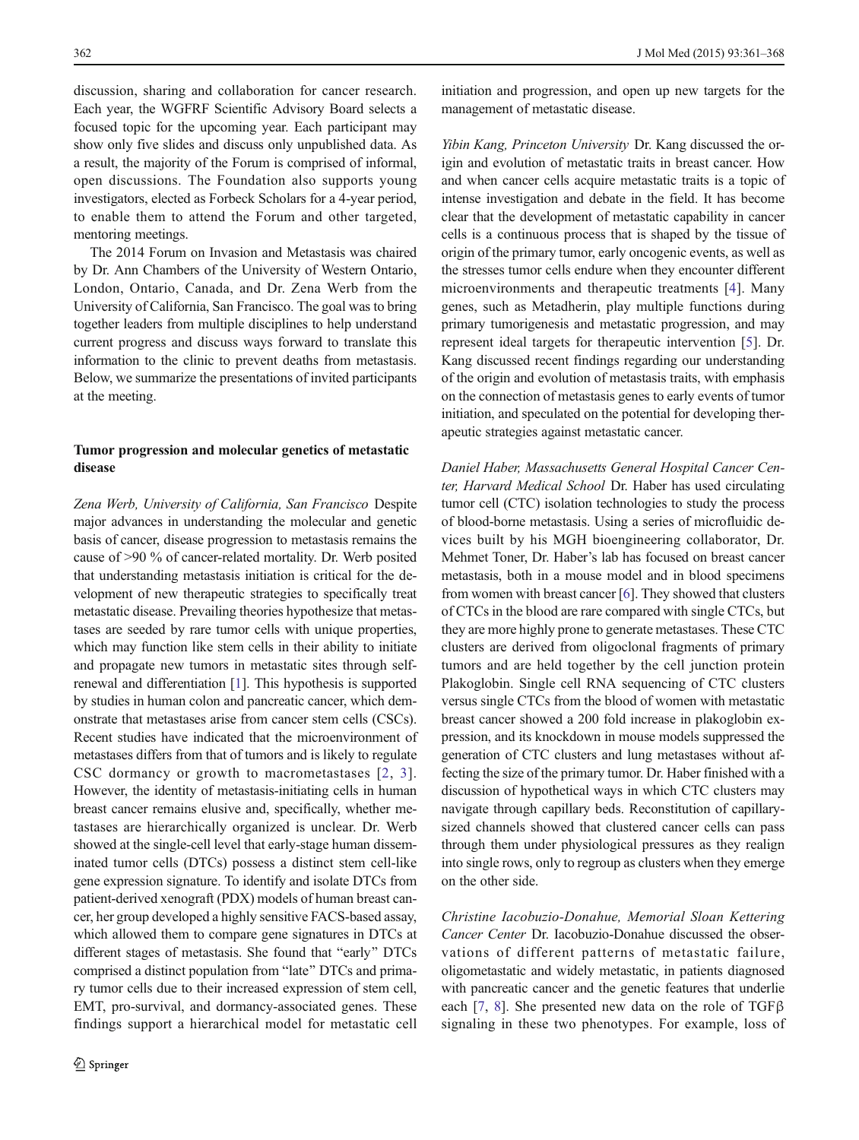discussion, sharing and collaboration for cancer research. Each year, the WGFRF Scientific Advisory Board selects a focused topic for the upcoming year. Each participant may show only five slides and discuss only unpublished data. As a result, the majority of the Forum is comprised of informal, open discussions. The Foundation also supports young investigators, elected as Forbeck Scholars for a 4-year period, to enable them to attend the Forum and other targeted, mentoring meetings.

The 2014 Forum on Invasion and Metastasis was chaired by Dr. Ann Chambers of the University of Western Ontario, London, Ontario, Canada, and Dr. Zena Werb from the University of California, San Francisco. The goal was to bring together leaders from multiple disciplines to help understand current progress and discuss ways forward to translate this information to the clinic to prevent deaths from metastasis. Below, we summarize the presentations of invited participants at the meeting.

## Tumor progression and molecular genetics of metastatic disease

Zena Werb, University of California, San Francisco Despite major advances in understanding the molecular and genetic basis of cancer, disease progression to metastasis remains the cause of >90 % of cancer-related mortality. Dr. Werb posited that understanding metastasis initiation is critical for the development of new therapeutic strategies to specifically treat metastatic disease. Prevailing theories hypothesize that metastases are seeded by rare tumor cells with unique properties, which may function like stem cells in their ability to initiate and propagate new tumors in metastatic sites through selfrenewal and differentiation [[1\]](#page-6-0). This hypothesis is supported by studies in human colon and pancreatic cancer, which demonstrate that metastases arise from cancer stem cells (CSCs). Recent studies have indicated that the microenvironment of metastases differs from that of tumors and is likely to regulate CSC dormancy or growth to macrometastases [[2](#page-6-0), [3\]](#page-6-0). However, the identity of metastasis-initiating cells in human breast cancer remains elusive and, specifically, whether metastases are hierarchically organized is unclear. Dr. Werb showed at the single-cell level that early-stage human disseminated tumor cells (DTCs) possess a distinct stem cell-like gene expression signature. To identify and isolate DTCs from patient-derived xenograft (PDX) models of human breast cancer, her group developed a highly sensitive FACS-based assay, which allowed them to compare gene signatures in DTCs at different stages of metastasis. She found that "early" DTCs comprised a distinct population from "late" DTCs and primary tumor cells due to their increased expression of stem cell, EMT, pro-survival, and dormancy-associated genes. These findings support a hierarchical model for metastatic cell

initiation and progression, and open up new targets for the management of metastatic disease.

Yibin Kang, Princeton University Dr. Kang discussed the origin and evolution of metastatic traits in breast cancer. How and when cancer cells acquire metastatic traits is a topic of intense investigation and debate in the field. It has become clear that the development of metastatic capability in cancer cells is a continuous process that is shaped by the tissue of origin of the primary tumor, early oncogenic events, as well as the stresses tumor cells endure when they encounter different microenvironments and therapeutic treatments [[4\]](#page-6-0). Many genes, such as Metadherin, play multiple functions during primary tumorigenesis and metastatic progression, and may represent ideal targets for therapeutic intervention [\[5](#page-6-0)]. Dr. Kang discussed recent findings regarding our understanding of the origin and evolution of metastasis traits, with emphasis on the connection of metastasis genes to early events of tumor initiation, and speculated on the potential for developing therapeutic strategies against metastatic cancer.

Daniel Haber, Massachusetts General Hospital Cancer Center, Harvard Medical School Dr. Haber has used circulating tumor cell (CTC) isolation technologies to study the process of blood-borne metastasis. Using a series of microfluidic devices built by his MGH bioengineering collaborator, Dr. Mehmet Toner, Dr. Haber's lab has focused on breast cancer metastasis, both in a mouse model and in blood specimens from women with breast cancer [\[6](#page-6-0)]. They showed that clusters of CTCs in the blood are rare compared with single CTCs, but they are more highly prone to generate metastases. These CTC clusters are derived from oligoclonal fragments of primary tumors and are held together by the cell junction protein Plakoglobin. Single cell RNA sequencing of CTC clusters versus single CTCs from the blood of women with metastatic breast cancer showed a 200 fold increase in plakoglobin expression, and its knockdown in mouse models suppressed the generation of CTC clusters and lung metastases without affecting the size of the primary tumor. Dr. Haber finished with a discussion of hypothetical ways in which CTC clusters may navigate through capillary beds. Reconstitution of capillarysized channels showed that clustered cancer cells can pass through them under physiological pressures as they realign into single rows, only to regroup as clusters when they emerge on the other side.

Christine Iacobuzio-Donahue, Memorial Sloan Kettering Cancer Center Dr. Iacobuzio-Donahue discussed the observations of different patterns of metastatic failure, oligometastatic and widely metastatic, in patients diagnosed with pancreatic cancer and the genetic features that underlie each [\[7](#page-6-0), [8\]](#page-6-0). She presented new data on the role of TGF $\beta$ signaling in these two phenotypes. For example, loss of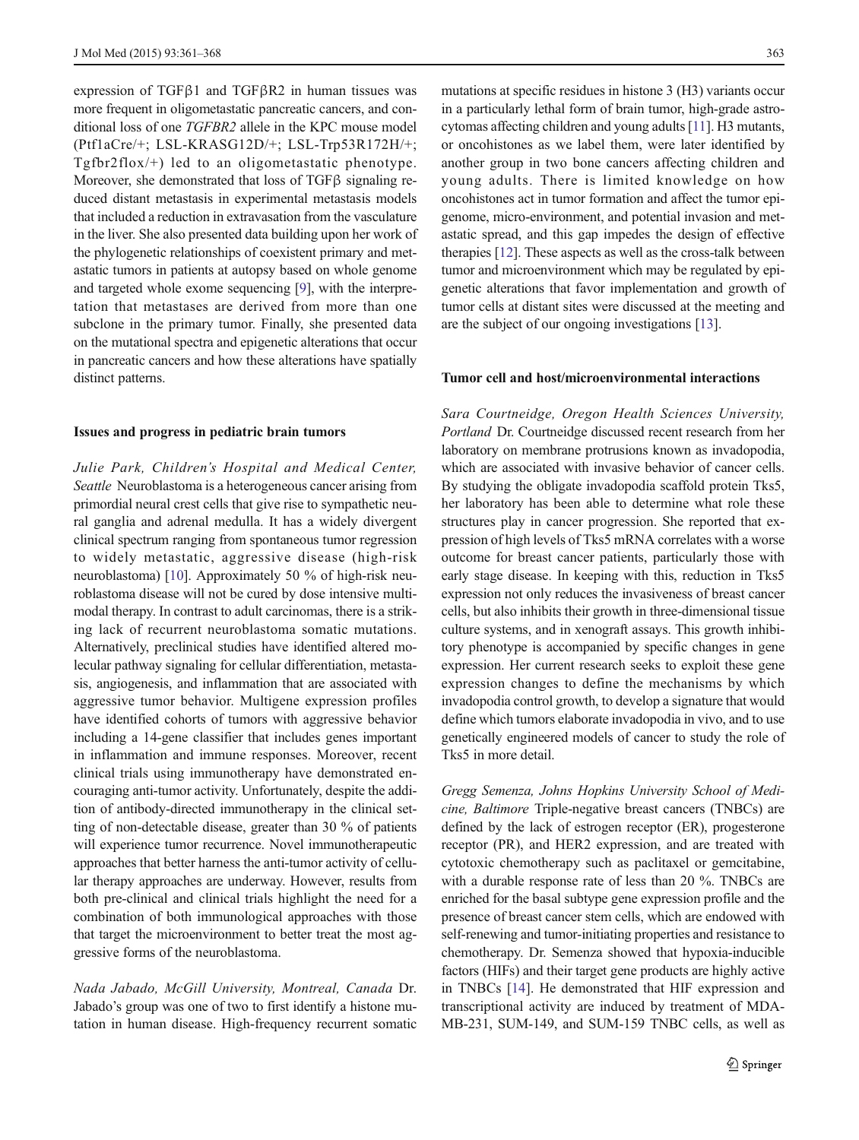expression of TGFβ1 and TGFβR2 in human tissues was more frequent in oligometastatic pancreatic cancers, and conditional loss of one TGFBR2 allele in the KPC mouse model (Ptf1aCre/+; LSL-KRASG12D/+; LSL-Trp53R172H/+; Tgfbr2flox/+) led to an oligometastatic phenotype. Moreover, she demonstrated that loss of TGFβ signaling reduced distant metastasis in experimental metastasis models that included a reduction in extravasation from the vasculature in the liver. She also presented data building upon her work of the phylogenetic relationships of coexistent primary and metastatic tumors in patients at autopsy based on whole genome and targeted whole exome sequencing [[9](#page-6-0)], with the interpretation that metastases are derived from more than one subclone in the primary tumor. Finally, she presented data on the mutational spectra and epigenetic alterations that occur in pancreatic cancers and how these alterations have spatially distinct patterns.

#### Issues and progress in pediatric brain tumors

Julie Park, Children's Hospital and Medical Center, Seattle Neuroblastoma is a heterogeneous cancer arising from primordial neural crest cells that give rise to sympathetic neural ganglia and adrenal medulla. It has a widely divergent clinical spectrum ranging from spontaneous tumor regression to widely metastatic, aggressive disease (high-risk neuroblastoma) [[10](#page-6-0)]. Approximately 50 % of high-risk neuroblastoma disease will not be cured by dose intensive multimodal therapy. In contrast to adult carcinomas, there is a striking lack of recurrent neuroblastoma somatic mutations. Alternatively, preclinical studies have identified altered molecular pathway signaling for cellular differentiation, metastasis, angiogenesis, and inflammation that are associated with aggressive tumor behavior. Multigene expression profiles have identified cohorts of tumors with aggressive behavior including a 14-gene classifier that includes genes important in inflammation and immune responses. Moreover, recent clinical trials using immunotherapy have demonstrated encouraging anti-tumor activity. Unfortunately, despite the addition of antibody-directed immunotherapy in the clinical setting of non-detectable disease, greater than 30 % of patients will experience tumor recurrence. Novel immunotherapeutic approaches that better harness the anti-tumor activity of cellular therapy approaches are underway. However, results from both pre-clinical and clinical trials highlight the need for a combination of both immunological approaches with those that target the microenvironment to better treat the most aggressive forms of the neuroblastoma.

Nada Jabado, McGill University, Montreal, Canada Dr. Jabado's group was one of two to first identify a histone mutation in human disease. High-frequency recurrent somatic

mutations at specific residues in histone 3 (H3) variants occur in a particularly lethal form of brain tumor, high-grade astrocytomas affecting children and young adults [\[11\]](#page-6-0). H3 mutants, or oncohistones as we label them, were later identified by another group in two bone cancers affecting children and young adults. There is limited knowledge on how oncohistones act in tumor formation and affect the tumor epigenome, micro-environment, and potential invasion and metastatic spread, and this gap impedes the design of effective therapies [\[12\]](#page-6-0). These aspects as well as the cross-talk between tumor and microenvironment which may be regulated by epigenetic alterations that favor implementation and growth of tumor cells at distant sites were discussed at the meeting and are the subject of our ongoing investigations [\[13\]](#page-6-0).

## Tumor cell and host/microenvironmental interactions

Sara Courtneidge, Oregon Health Sciences University, Portland Dr. Courtneidge discussed recent research from her laboratory on membrane protrusions known as invadopodia, which are associated with invasive behavior of cancer cells. By studying the obligate invadopodia scaffold protein Tks5, her laboratory has been able to determine what role these structures play in cancer progression. She reported that expression of high levels of Tks5 mRNA correlates with a worse outcome for breast cancer patients, particularly those with early stage disease. In keeping with this, reduction in Tks5 expression not only reduces the invasiveness of breast cancer cells, but also inhibits their growth in three-dimensional tissue culture systems, and in xenograft assays. This growth inhibitory phenotype is accompanied by specific changes in gene expression. Her current research seeks to exploit these gene expression changes to define the mechanisms by which invadopodia control growth, to develop a signature that would define which tumors elaborate invadopodia in vivo, and to use genetically engineered models of cancer to study the role of Tks5 in more detail.

Gregg Semenza, Johns Hopkins University School of Medicine, Baltimore Triple-negative breast cancers (TNBCs) are defined by the lack of estrogen receptor (ER), progesterone receptor (PR), and HER2 expression, and are treated with cytotoxic chemotherapy such as paclitaxel or gemcitabine, with a durable response rate of less than 20 %. TNBCs are enriched for the basal subtype gene expression profile and the presence of breast cancer stem cells, which are endowed with self-renewing and tumor-initiating properties and resistance to chemotherapy. Dr. Semenza showed that hypoxia-inducible factors (HIFs) and their target gene products are highly active in TNBCs [[14\]](#page-6-0). He demonstrated that HIF expression and transcriptional activity are induced by treatment of MDA-MB-231, SUM-149, and SUM-159 TNBC cells, as well as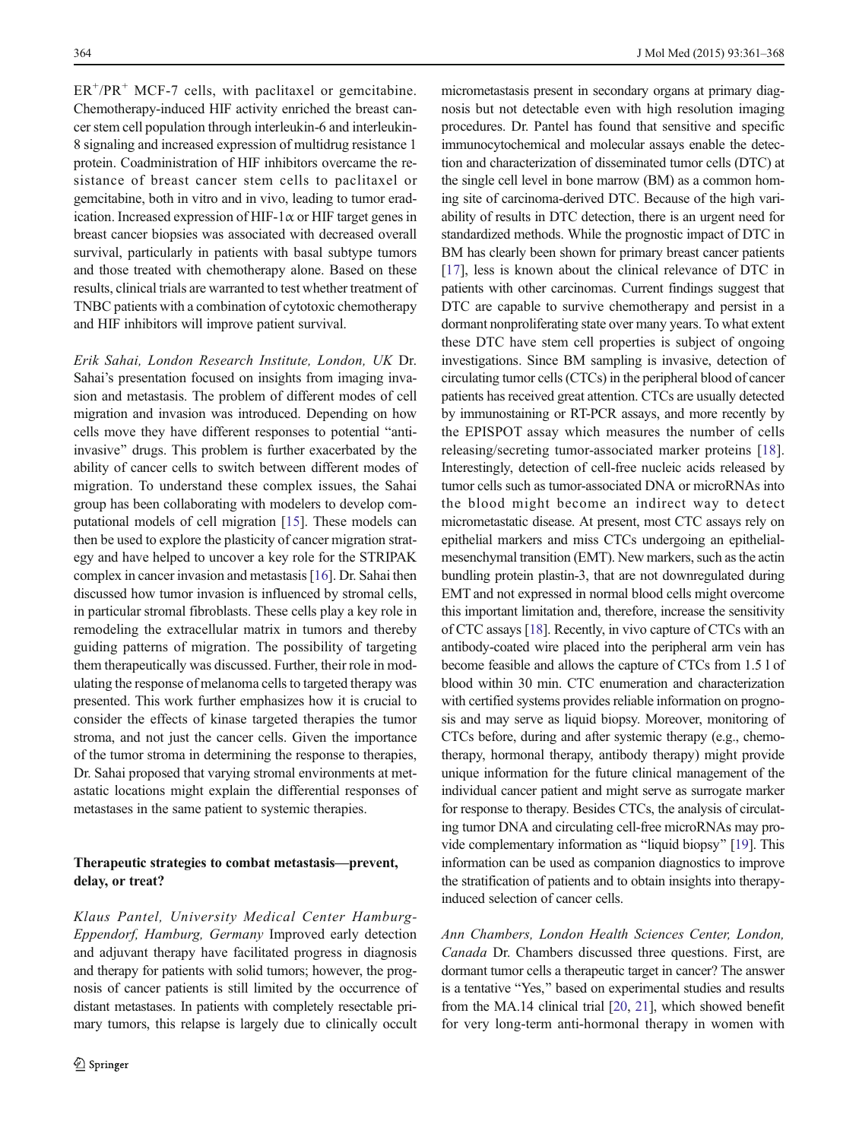$ER<sup>+</sup>/PR<sup>+</sup> MCF-7$  cells, with paclitaxel or gemcitabine. Chemotherapy-induced HIF activity enriched the breast cancer stem cell population through interleukin-6 and interleukin-8 signaling and increased expression of multidrug resistance 1 protein. Coadministration of HIF inhibitors overcame the resistance of breast cancer stem cells to paclitaxel or gemcitabine, both in vitro and in vivo, leading to tumor eradication. Increased expression of HIF-1 $\alpha$  or HIF target genes in breast cancer biopsies was associated with decreased overall survival, particularly in patients with basal subtype tumors and those treated with chemotherapy alone. Based on these results, clinical trials are warranted to test whether treatment of TNBC patients with a combination of cytotoxic chemotherapy and HIF inhibitors will improve patient survival.

Erik Sahai, London Research Institute, London, UK Dr. Sahai's presentation focused on insights from imaging invasion and metastasis. The problem of different modes of cell migration and invasion was introduced. Depending on how cells move they have different responses to potential "antiinvasive" drugs. This problem is further exacerbated by the ability of cancer cells to switch between different modes of migration. To understand these complex issues, the Sahai group has been collaborating with modelers to develop computational models of cell migration [\[15](#page-6-0)]. These models can then be used to explore the plasticity of cancer migration strategy and have helped to uncover a key role for the STRIPAK complex in cancer invasion and metastasis [[16\]](#page-6-0). Dr. Sahai then discussed how tumor invasion is influenced by stromal cells, in particular stromal fibroblasts. These cells play a key role in remodeling the extracellular matrix in tumors and thereby guiding patterns of migration. The possibility of targeting them therapeutically was discussed. Further, their role in modulating the response of melanoma cells to targeted therapy was presented. This work further emphasizes how it is crucial to consider the effects of kinase targeted therapies the tumor stroma, and not just the cancer cells. Given the importance of the tumor stroma in determining the response to therapies, Dr. Sahai proposed that varying stromal environments at metastatic locations might explain the differential responses of metastases in the same patient to systemic therapies.

## Therapeutic strategies to combat metastasis—prevent, delay, or treat?

Klaus Pantel, University Medical Center Hamburg-Eppendorf, Hamburg, Germany Improved early detection and adjuvant therapy have facilitated progress in diagnosis and therapy for patients with solid tumors; however, the prognosis of cancer patients is still limited by the occurrence of distant metastases. In patients with completely resectable primary tumors, this relapse is largely due to clinically occult

micrometastasis present in secondary organs at primary diagnosis but not detectable even with high resolution imaging procedures. Dr. Pantel has found that sensitive and specific immunocytochemical and molecular assays enable the detection and characterization of disseminated tumor cells (DTC) at the single cell level in bone marrow (BM) as a common homing site of carcinoma-derived DTC. Because of the high variability of results in DTC detection, there is an urgent need for standardized methods. While the prognostic impact of DTC in BM has clearly been shown for primary breast cancer patients [\[17](#page-6-0)], less is known about the clinical relevance of DTC in patients with other carcinomas. Current findings suggest that DTC are capable to survive chemotherapy and persist in a dormant nonproliferating state over many years. To what extent these DTC have stem cell properties is subject of ongoing investigations. Since BM sampling is invasive, detection of circulating tumor cells (CTCs) in the peripheral blood of cancer patients has received great attention. CTCs are usually detected by immunostaining or RT-PCR assays, and more recently by the EPISPOT assay which measures the number of cells releasing/secreting tumor-associated marker proteins [\[18](#page-6-0)]. Interestingly, detection of cell-free nucleic acids released by tumor cells such as tumor-associated DNA or microRNAs into the blood might become an indirect way to detect micrometastatic disease. At present, most CTC assays rely on epithelial markers and miss CTCs undergoing an epithelialmesenchymal transition (EMT). New markers, such as the actin bundling protein plastin-3, that are not downregulated during EMT and not expressed in normal blood cells might overcome this important limitation and, therefore, increase the sensitivity of CTC assays [\[18\]](#page-6-0). Recently, in vivo capture of CTCs with an antibody-coated wire placed into the peripheral arm vein has become feasible and allows the capture of CTCs from 1.5 l of blood within 30 min. CTC enumeration and characterization with certified systems provides reliable information on prognosis and may serve as liquid biopsy. Moreover, monitoring of CTCs before, during and after systemic therapy (e.g., chemotherapy, hormonal therapy, antibody therapy) might provide unique information for the future clinical management of the individual cancer patient and might serve as surrogate marker for response to therapy. Besides CTCs, the analysis of circulating tumor DNA and circulating cell-free microRNAs may pro-vide complementary information as "liquid biopsy" [[19](#page-6-0)]. This information can be used as companion diagnostics to improve the stratification of patients and to obtain insights into therapyinduced selection of cancer cells.

Ann Chambers, London Health Sciences Center, London, Canada Dr. Chambers discussed three questions. First, are dormant tumor cells a therapeutic target in cancer? The answer is a tentative "Yes," based on experimental studies and results from the MA.14 clinical trial [\[20](#page-6-0), [21](#page-6-0)], which showed benefit for very long-term anti-hormonal therapy in women with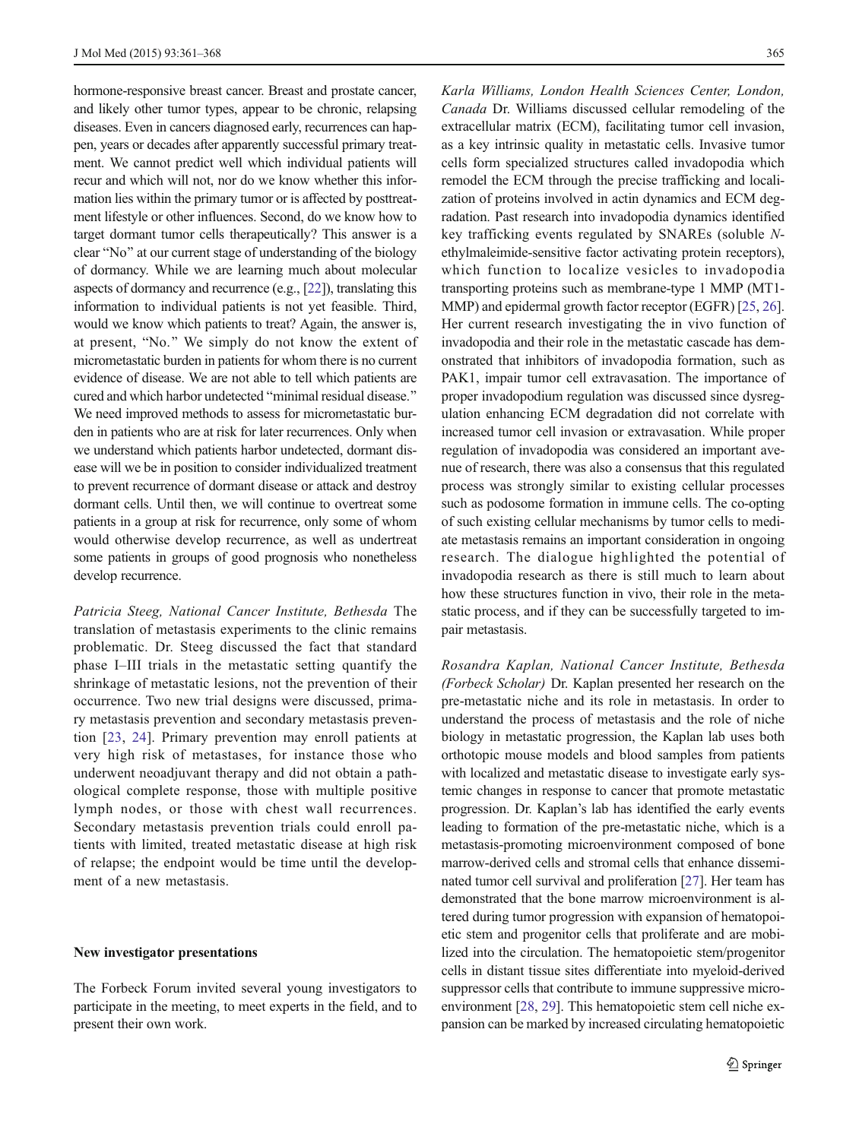hormone-responsive breast cancer. Breast and prostate cancer, and likely other tumor types, appear to be chronic, relapsing diseases. Even in cancers diagnosed early, recurrences can happen, years or decades after apparently successful primary treatment. We cannot predict well which individual patients will recur and which will not, nor do we know whether this information lies within the primary tumor or is affected by posttreatment lifestyle or other influences. Second, do we know how to target dormant tumor cells therapeutically? This answer is a clear "No" at our current stage of understanding of the biology of dormancy. While we are learning much about molecular aspects of dormancy and recurrence (e.g., [\[22\]](#page-6-0)), translating this information to individual patients is not yet feasible. Third, would we know which patients to treat? Again, the answer is, at present, "No." We simply do not know the extent of micrometastatic burden in patients for whom there is no current evidence of disease. We are not able to tell which patients are cured and which harbor undetected "minimal residual disease." We need improved methods to assess for micrometastatic burden in patients who are at risk for later recurrences. Only when we understand which patients harbor undetected, dormant disease will we be in position to consider individualized treatment to prevent recurrence of dormant disease or attack and destroy dormant cells. Until then, we will continue to overtreat some patients in a group at risk for recurrence, only some of whom would otherwise develop recurrence, as well as undertreat some patients in groups of good prognosis who nonetheless develop recurrence.

Patricia Steeg, National Cancer Institute, Bethesda The translation of metastasis experiments to the clinic remains problematic. Dr. Steeg discussed the fact that standard phase I–III trials in the metastatic setting quantify the shrinkage of metastatic lesions, not the prevention of their occurrence. Two new trial designs were discussed, primary metastasis prevention and secondary metastasis prevention [\[23,](#page-6-0) [24\]](#page-6-0). Primary prevention may enroll patients at very high risk of metastases, for instance those who underwent neoadjuvant therapy and did not obtain a pathological complete response, those with multiple positive lymph nodes, or those with chest wall recurrences. Secondary metastasis prevention trials could enroll patients with limited, treated metastatic disease at high risk of relapse; the endpoint would be time until the development of a new metastasis.

#### New investigator presentations

The Forbeck Forum invited several young investigators to participate in the meeting, to meet experts in the field, and to present their own work.

Karla Williams, London Health Sciences Center, London, Canada Dr. Williams discussed cellular remodeling of the extracellular matrix (ECM), facilitating tumor cell invasion, as a key intrinsic quality in metastatic cells. Invasive tumor cells form specialized structures called invadopodia which remodel the ECM through the precise trafficking and localization of proteins involved in actin dynamics and ECM degradation. Past research into invadopodia dynamics identified key trafficking events regulated by SNAREs (soluble Nethylmaleimide-sensitive factor activating protein receptors), which function to localize vesicles to invadopodia transporting proteins such as membrane-type 1 MMP (MT1- MMP) and epidermal growth factor receptor (EGFR) [[25](#page-6-0), [26\]](#page-6-0). Her current research investigating the in vivo function of invadopodia and their role in the metastatic cascade has demonstrated that inhibitors of invadopodia formation, such as PAK1, impair tumor cell extravasation. The importance of proper invadopodium regulation was discussed since dysregulation enhancing ECM degradation did not correlate with increased tumor cell invasion or extravasation. While proper regulation of invadopodia was considered an important avenue of research, there was also a consensus that this regulated process was strongly similar to existing cellular processes such as podosome formation in immune cells. The co-opting of such existing cellular mechanisms by tumor cells to mediate metastasis remains an important consideration in ongoing research. The dialogue highlighted the potential of invadopodia research as there is still much to learn about how these structures function in vivo, their role in the metastatic process, and if they can be successfully targeted to impair metastasis.

Rosandra Kaplan, National Cancer Institute, Bethesda (Forbeck Scholar) Dr. Kaplan presented her research on the pre-metastatic niche and its role in metastasis. In order to understand the process of metastasis and the role of niche biology in metastatic progression, the Kaplan lab uses both orthotopic mouse models and blood samples from patients with localized and metastatic disease to investigate early systemic changes in response to cancer that promote metastatic progression. Dr. Kaplan's lab has identified the early events leading to formation of the pre-metastatic niche, which is a metastasis-promoting microenvironment composed of bone marrow-derived cells and stromal cells that enhance disseminated tumor cell survival and proliferation [\[27\]](#page-6-0). Her team has demonstrated that the bone marrow microenvironment is altered during tumor progression with expansion of hematopoietic stem and progenitor cells that proliferate and are mobilized into the circulation. The hematopoietic stem/progenitor cells in distant tissue sites differentiate into myeloid-derived suppressor cells that contribute to immune suppressive microenvironment [[28,](#page-6-0) [29\]](#page-6-0). This hematopoietic stem cell niche expansion can be marked by increased circulating hematopoietic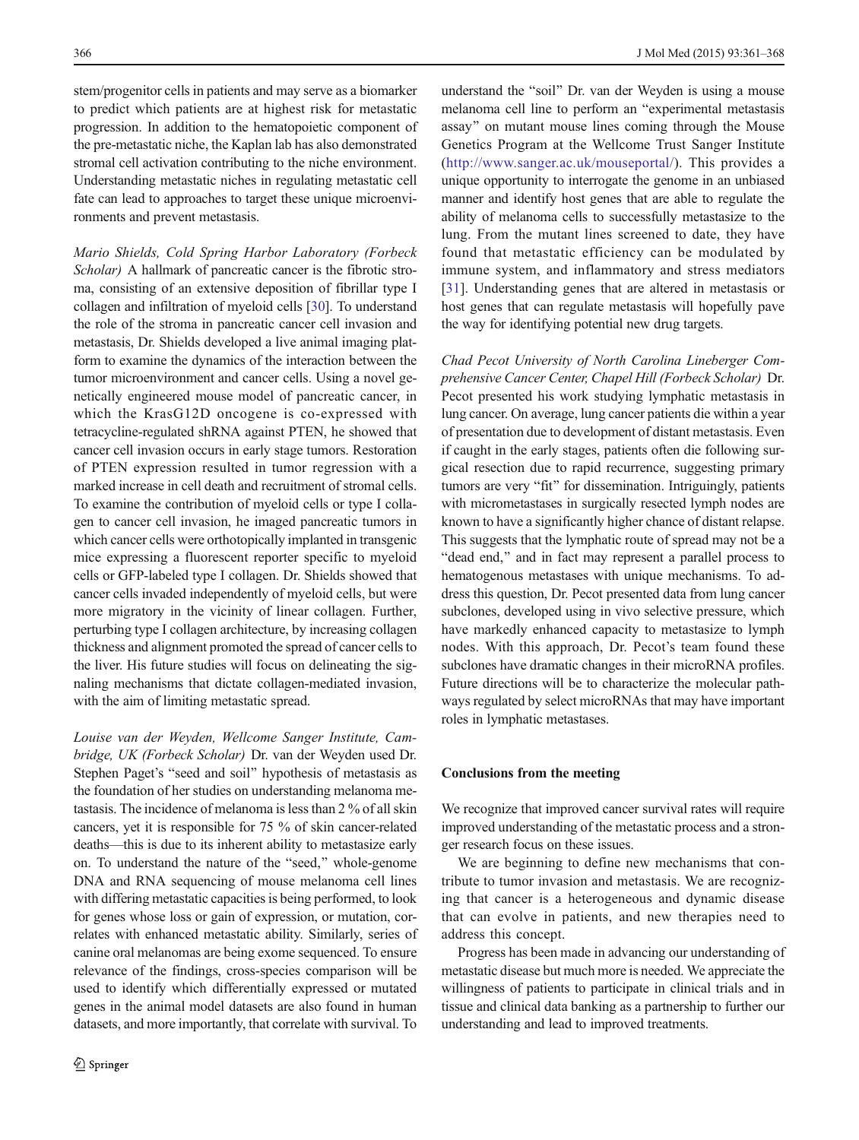stem/progenitor cells in patients and may serve as a biomarker to predict which patients are at highest risk for metastatic progression. In addition to the hematopoietic component of the pre-metastatic niche, the Kaplan lab has also demonstrated stromal cell activation contributing to the niche environment. Understanding metastatic niches in regulating metastatic cell fate can lead to approaches to target these unique microenvironments and prevent metastasis.

Mario Shields, Cold Spring Harbor Laboratory (Forbeck Scholar) A hallmark of pancreatic cancer is the fibrotic stroma, consisting of an extensive deposition of fibrillar type I collagen and infiltration of myeloid cells [[30](#page-7-0)]. To understand the role of the stroma in pancreatic cancer cell invasion and metastasis, Dr. Shields developed a live animal imaging platform to examine the dynamics of the interaction between the tumor microenvironment and cancer cells. Using a novel genetically engineered mouse model of pancreatic cancer, in which the KrasG12D oncogene is co-expressed with tetracycline-regulated shRNA against PTEN, he showed that cancer cell invasion occurs in early stage tumors. Restoration of PTEN expression resulted in tumor regression with a marked increase in cell death and recruitment of stromal cells. To examine the contribution of myeloid cells or type I collagen to cancer cell invasion, he imaged pancreatic tumors in which cancer cells were orthotopically implanted in transgenic mice expressing a fluorescent reporter specific to myeloid cells or GFP-labeled type I collagen. Dr. Shields showed that cancer cells invaded independently of myeloid cells, but were more migratory in the vicinity of linear collagen. Further, perturbing type I collagen architecture, by increasing collagen thickness and alignment promoted the spread of cancer cells to the liver. His future studies will focus on delineating the signaling mechanisms that dictate collagen-mediated invasion, with the aim of limiting metastatic spread.

Louise van der Weyden, Wellcome Sanger Institute, Cambridge, UK (Forbeck Scholar) Dr. van der Weyden used Dr. Stephen Paget's "seed and soil" hypothesis of metastasis as the foundation of her studies on understanding melanoma metastasis. The incidence of melanoma is less than 2 % of all skin cancers, yet it is responsible for 75 % of skin cancer-related deaths—this is due to its inherent ability to metastasize early on. To understand the nature of the "seed," whole-genome DNA and RNA sequencing of mouse melanoma cell lines with differing metastatic capacities is being performed, to look for genes whose loss or gain of expression, or mutation, correlates with enhanced metastatic ability. Similarly, series of canine oral melanomas are being exome sequenced. To ensure relevance of the findings, cross-species comparison will be used to identify which differentially expressed or mutated genes in the animal model datasets are also found in human datasets, and more importantly, that correlate with survival. To

understand the "soil" Dr. van der Weyden is using a mouse melanoma cell line to perform an "experimental metastasis assay" on mutant mouse lines coming through the Mouse Genetics Program at the Wellcome Trust Sanger Institute (<http://www.sanger.ac.uk/mouseportal/>). This provides a unique opportunity to interrogate the genome in an unbiased manner and identify host genes that are able to regulate the ability of melanoma cells to successfully metastasize to the lung. From the mutant lines screened to date, they have found that metastatic efficiency can be modulated by immune system, and inflammatory and stress mediators [\[31](#page-7-0)]. Understanding genes that are altered in metastasis or host genes that can regulate metastasis will hopefully pave the way for identifying potential new drug targets.

Chad Pecot University of North Carolina Lineberger Comprehensive Cancer Center, Chapel Hill (Forbeck Scholar) Dr. Pecot presented his work studying lymphatic metastasis in lung cancer. On average, lung cancer patients die within a year of presentation due to development of distant metastasis. Even if caught in the early stages, patients often die following surgical resection due to rapid recurrence, suggesting primary tumors are very "fit" for dissemination. Intriguingly, patients with micrometastases in surgically resected lymph nodes are known to have a significantly higher chance of distant relapse. This suggests that the lymphatic route of spread may not be a "dead end," and in fact may represent a parallel process to hematogenous metastases with unique mechanisms. To address this question, Dr. Pecot presented data from lung cancer subclones, developed using in vivo selective pressure, which have markedly enhanced capacity to metastasize to lymph nodes. With this approach, Dr. Pecot's team found these subclones have dramatic changes in their microRNA profiles. Future directions will be to characterize the molecular pathways regulated by select microRNAs that may have important roles in lymphatic metastases.

## Conclusions from the meeting

We recognize that improved cancer survival rates will require improved understanding of the metastatic process and a stronger research focus on these issues.

We are beginning to define new mechanisms that contribute to tumor invasion and metastasis. We are recognizing that cancer is a heterogeneous and dynamic disease that can evolve in patients, and new therapies need to address this concept.

Progress has been made in advancing our understanding of metastatic disease but much more is needed. We appreciate the willingness of patients to participate in clinical trials and in tissue and clinical data banking as a partnership to further our understanding and lead to improved treatments.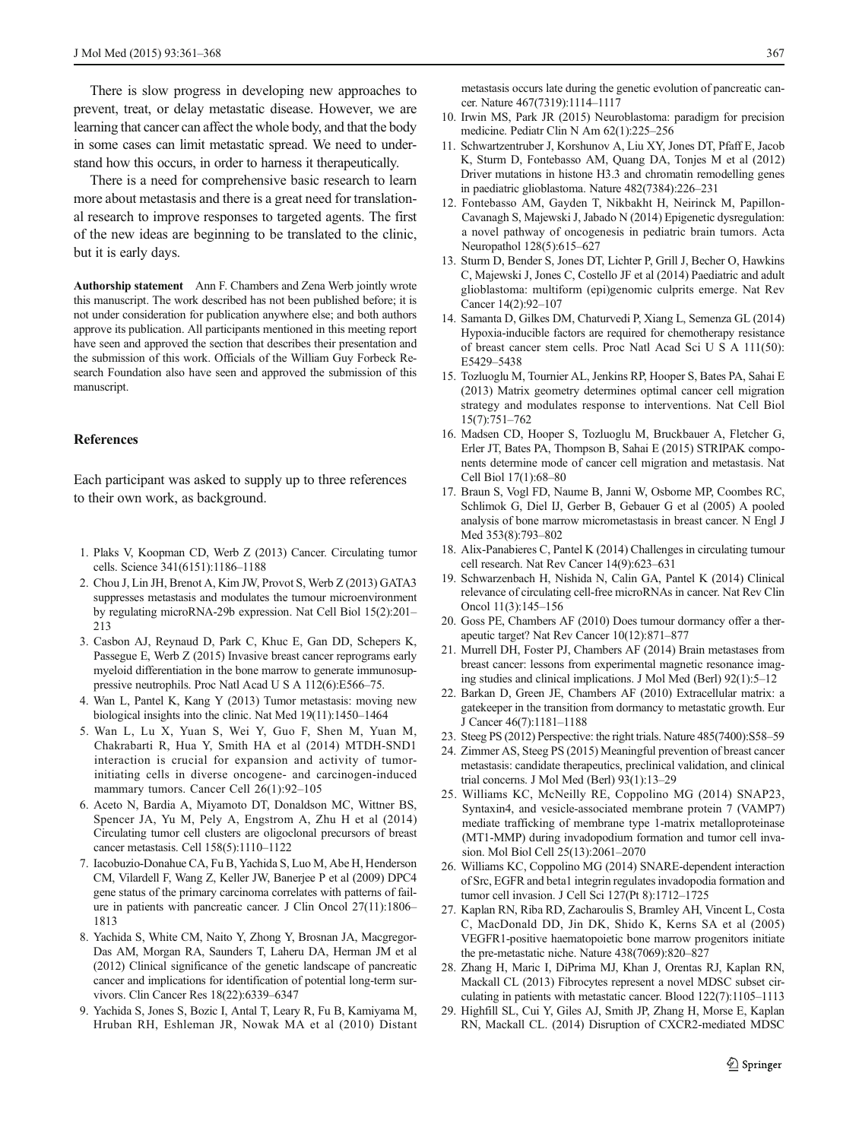<span id="page-6-0"></span>There is slow progress in developing new approaches to prevent, treat, or delay metastatic disease. However, we are learning that cancer can affect the whole body, and that the body in some cases can limit metastatic spread. We need to understand how this occurs, in order to harness it therapeutically.

There is a need for comprehensive basic research to learn more about metastasis and there is a great need for translational research to improve responses to targeted agents. The first of the new ideas are beginning to be translated to the clinic, but it is early days.

Authorship statement Ann F. Chambers and Zena Werb jointly wrote this manuscript. The work described has not been published before; it is not under consideration for publication anywhere else; and both authors approve its publication. All participants mentioned in this meeting report have seen and approved the section that describes their presentation and the submission of this work. Officials of the William Guy Forbeck Research Foundation also have seen and approved the submission of this manuscript.

### References

Each participant was asked to supply up to three references to their own work, as background.

- 1. Plaks V, Koopman CD, Werb Z (2013) Cancer. Circulating tumor cells. Science 341(6151):1186–1188
- 2. Chou J, Lin JH, Brenot A, Kim JW, Provot S, Werb Z (2013) GATA3 suppresses metastasis and modulates the tumour microenvironment by regulating microRNA-29b expression. Nat Cell Biol 15(2):201– 213
- 3. Casbon AJ, Reynaud D, Park C, Khuc E, Gan DD, Schepers K, Passegue E, Werb Z (2015) Invasive breast cancer reprograms early myeloid differentiation in the bone marrow to generate immunosuppressive neutrophils. Proc Natl Acad U S A 112(6):E566–75.
- 4. Wan L, Pantel K, Kang Y (2013) Tumor metastasis: moving new biological insights into the clinic. Nat Med 19(11):1450–1464
- 5. Wan L, Lu X, Yuan S, Wei Y, Guo F, Shen M, Yuan M, Chakrabarti R, Hua Y, Smith HA et al (2014) MTDH-SND1 interaction is crucial for expansion and activity of tumorinitiating cells in diverse oncogene- and carcinogen-induced mammary tumors. Cancer Cell 26(1):92-105
- 6. Aceto N, Bardia A, Miyamoto DT, Donaldson MC, Wittner BS, Spencer JA, Yu M, Pely A, Engstrom A, Zhu H et al (2014) Circulating tumor cell clusters are oligoclonal precursors of breast cancer metastasis. Cell 158(5):1110–1122
- 7. Iacobuzio-Donahue CA, Fu B, Yachida S, Luo M, Abe H, Henderson CM, Vilardell F, Wang Z, Keller JW, Banerjee P et al (2009) DPC4 gene status of the primary carcinoma correlates with patterns of failure in patients with pancreatic cancer. J Clin Oncol 27(11):1806– 1813
- 8. Yachida S, White CM, Naito Y, Zhong Y, Brosnan JA, Macgregor-Das AM, Morgan RA, Saunders T, Laheru DA, Herman JM et al (2012) Clinical significance of the genetic landscape of pancreatic cancer and implications for identification of potential long-term survivors. Clin Cancer Res 18(22):6339–6347
- 9. Yachida S, Jones S, Bozic I, Antal T, Leary R, Fu B, Kamiyama M, Hruban RH, Eshleman JR, Nowak MA et al (2010) Distant

metastasis occurs late during the genetic evolution of pancreatic cancer. Nature 467(7319):1114–1117

- 10. Irwin MS, Park JR (2015) Neuroblastoma: paradigm for precision medicine. Pediatr Clin N Am 62(1):225–256
- 11. Schwartzentruber J, Korshunov A, Liu XY, Jones DT, Pfaff E, Jacob K, Sturm D, Fontebasso AM, Quang DA, Tonjes M et al (2012) Driver mutations in histone H3.3 and chromatin remodelling genes in paediatric glioblastoma. Nature 482(7384):226–231
- 12. Fontebasso AM, Gayden T, Nikbakht H, Neirinck M, Papillon-Cavanagh S, Majewski J, Jabado N (2014) Epigenetic dysregulation: a novel pathway of oncogenesis in pediatric brain tumors. Acta Neuropathol 128(5):615–627
- 13. Sturm D, Bender S, Jones DT, Lichter P, Grill J, Becher O, Hawkins C, Majewski J, Jones C, Costello JF et al (2014) Paediatric and adult glioblastoma: multiform (epi)genomic culprits emerge. Nat Rev Cancer 14(2):92–107
- 14. Samanta D, Gilkes DM, Chaturvedi P, Xiang L, Semenza GL (2014) Hypoxia-inducible factors are required for chemotherapy resistance of breast cancer stem cells. Proc Natl Acad Sci U S A 111(50): E5429–5438
- 15. Tozluoglu M, Tournier AL, Jenkins RP, Hooper S, Bates PA, Sahai E (2013) Matrix geometry determines optimal cancer cell migration strategy and modulates response to interventions. Nat Cell Biol 15(7):751–762
- 16. Madsen CD, Hooper S, Tozluoglu M, Bruckbauer A, Fletcher G, Erler JT, Bates PA, Thompson B, Sahai E (2015) STRIPAK components determine mode of cancer cell migration and metastasis. Nat Cell Biol 17(1):68–80
- 17. Braun S, Vogl FD, Naume B, Janni W, Osborne MP, Coombes RC, Schlimok G, Diel IJ, Gerber B, Gebauer G et al (2005) A pooled analysis of bone marrow micrometastasis in breast cancer. N Engl J Med 353(8):793–802
- 18. Alix-Panabieres C, Pantel K (2014) Challenges in circulating tumour cell research. Nat Rev Cancer 14(9):623–631
- 19. Schwarzenbach H, Nishida N, Calin GA, Pantel K (2014) Clinical relevance of circulating cell-free microRNAs in cancer. Nat Rev Clin Oncol 11(3):145–156
- 20. Goss PE, Chambers AF (2010) Does tumour dormancy offer a therapeutic target? Nat Rev Cancer 10(12):871–877
- 21. Murrell DH, Foster PJ, Chambers AF (2014) Brain metastases from breast cancer: lessons from experimental magnetic resonance imaging studies and clinical implications. J Mol Med (Berl) 92(1):5–12
- 22. Barkan D, Green JE, Chambers AF (2010) Extracellular matrix: a gatekeeper in the transition from dormancy to metastatic growth. Eur J Cancer 46(7):1181–1188
- 23. Steeg PS (2012) Perspective: the right trials. Nature 485(7400):S58–59
- 24. Zimmer AS, Steeg PS (2015) Meaningful prevention of breast cancer metastasis: candidate therapeutics, preclinical validation, and clinical trial concerns. J Mol Med (Berl) 93(1):13–29
- 25. Williams KC, McNeilly RE, Coppolino MG (2014) SNAP23, Syntaxin4, and vesicle-associated membrane protein 7 (VAMP7) mediate trafficking of membrane type 1-matrix metalloproteinase (MT1-MMP) during invadopodium formation and tumor cell invasion. Mol Biol Cell 25(13):2061–2070
- 26. Williams KC, Coppolino MG (2014) SNARE-dependent interaction of Src, EGFR and beta1 integrin regulates invadopodia formation and tumor cell invasion. J Cell Sci 127(Pt 8):1712–1725
- 27. Kaplan RN, Riba RD, Zacharoulis S, Bramley AH, Vincent L, Costa C, MacDonald DD, Jin DK, Shido K, Kerns SA et al (2005) VEGFR1-positive haematopoietic bone marrow progenitors initiate the pre-metastatic niche. Nature 438(7069):820–827
- 28. Zhang H, Maric I, DiPrima MJ, Khan J, Orentas RJ, Kaplan RN, Mackall CL (2013) Fibrocytes represent a novel MDSC subset circulating in patients with metastatic cancer. Blood 122(7):1105–1113
- 29. Highfill SL, Cui Y, Giles AJ, Smith JP, Zhang H, Morse E, Kaplan RN, Mackall CL. (2014) Disruption of CXCR2-mediated MDSC